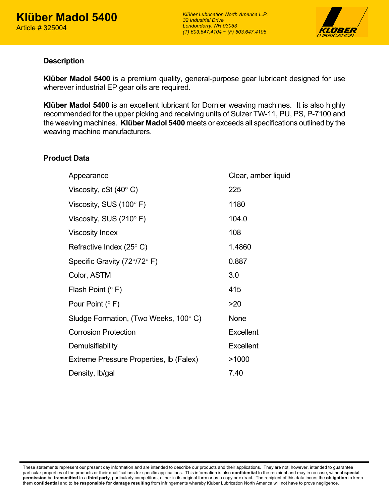

## **Description**

**Klüber Madol 5400** is a premium quality, general-purpose gear lubricant designed for use wherever industrial EP gear oils are required.

**Klüber Madol 5400** is an excellent lubricant for Dornier weaving machines. It is also highly recommended for the upper picking and receiving units of Sulzer TW-11, PU, PS, P-7100 and the weaving machines. **Klüber Madol 5400** meets or exceeds all specifications outlined by the weaving machine manufacturers.

## **Product Data**

| Appearance                               | Clear, amber liquid |
|------------------------------------------|---------------------|
| Viscosity, cSt $(40^{\circ} C)$          | 225                 |
| Viscosity, SUS $(100^{\circ} \text{ F})$ | 1180                |
| Viscosity, SUS $(210^{\circ} \text{ F})$ | 104.0               |
| <b>Viscosity Index</b>                   | 108                 |
| Refractive Index (25 $\degree$ C)        | 1.4860              |
| Specific Gravity (72°/72° F)             | 0.887               |
| Color, ASTM                              | 3.0                 |
| Flash Point $(° F)$                      | 415                 |
| Pour Point $(° F)$                       | >20                 |
| Sludge Formation, (Two Weeks, 100°C)     | <b>None</b>         |
| <b>Corrosion Protection</b>              | <b>Excellent</b>    |
| Demulsifiability                         | <b>Excellent</b>    |
| Extreme Pressure Properties, Ib (Falex)  | >1000               |
| Density, Ib/gal                          | 7.40                |

These statements represent our present day information and are intended to describe our products and their applications. They are not, however, intended to guarantee particular properties of the products or their qualifications for specific applications. This information is also **confidential** to the recipient and may in no case, without **special permission** be **transmitted** to a **third party**, particularly competitors, either in its original form or as a copy or extract. The recipient of this data incurs the **obligation** to keep them **confidential** and to **be responsible for damage resulting** from infringements whereby Kluber Lubrication North America will not have to prove negligence.